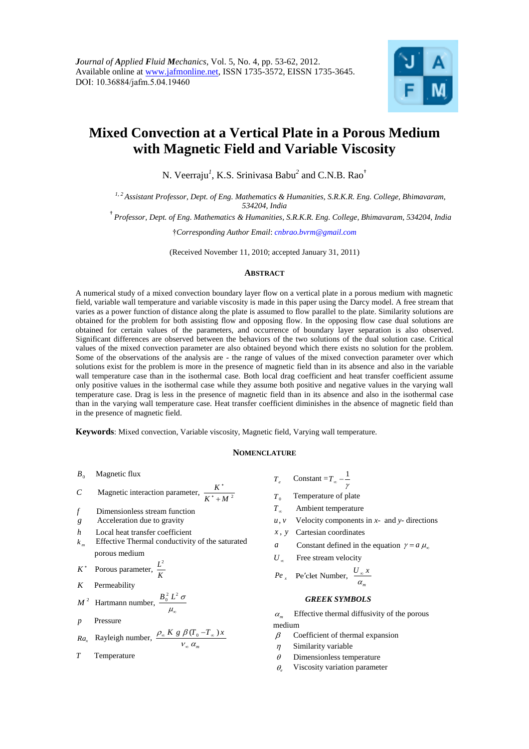

# **Mixed Convection at a Vertical Plate in a Porous Medium with Magnetic Field and Variable Viscosity**

N. Veerraju*<sup>1</sup>* , K.S. Srinivasa Babu*<sup>2</sup>* and C.N.B. Rao†

*1, <sup>2</sup>Assistant Professor, Dept. of Eng. Mathematics & Humanities, S.R.K.R. Eng. College, Bhimavaram, 534204, India*

† *Professor, Dept. of Eng. Mathematics & Humanities, S.R.K.R. Eng. College, Bhimavaram, 534204, India*

†*Corresponding Author Email*: *[cnbrao.bvrm@gmail.com](mailto:cnbrao.bvrm@gmail.com)*

(Received November 11, 2010; accepted January 31, 2011)

#### **ABSTRACT**

A numerical study of a mixed convection boundary layer flow on a vertical plate in a porous medium with magnetic field, variable wall temperature and variable viscosity is made in this paper using the Darcy model. A free stream that varies as a power function of distance along the plate is assumed to flow parallel to the plate. Similarity solutions are obtained for the problem for both assisting flow and opposing flow. In the opposing flow case dual solutions are obtained for certain values of the parameters, and occurrence of boundary layer separation is also observed. Significant differences are observed between the behaviors of the two solutions of the dual solution case. Critical values of the mixed convection parameter are also obtained beyond which there exists no solution for the problem. Some of the observations of the analysis are - the range of values of the mixed convection parameter over which solutions exist for the problem is more in the presence of magnetic field than in its absence and also in the variable wall temperature case than in the isothermal case. Both local drag coefficient and heat transfer coefficient assume only positive values in the isothermal case while they assume both positive and negative values in the varying wall temperature case. Drag is less in the presence of magnetic field than in its absence and also in the isothermal case than in the varying wall temperature case. Heat transfer coefficient diminishes in the absence of magnetic field than in the presence of magnetic field.

**Keywords**: Mixed convection, Variable viscosity, Magnetic field, Varying wall temperature.

## **NOMENCLATURE**

 $B<sub>0</sub>$ Magnetic flux

$$
C
$$
 Magnetic interaction parameter,  $\frac{K^*}{K^* + M^2}$ 

- *f* Dimensionless stream function
- *g* Acceleration due to gravity
- *h* Local heat transfer coefficient
- *m* Effective Thermal conductivity of the saturated porous medium
- *K* Porous parameter,  $\frac{L^2}{L}$ *K*
- *K* Permeability

$$
M^2
$$
 Hartmann number,  $\frac{B_0^2 L^2 \sigma}{\mu_0}$ 

*p* Pressure

$$
Ra_x
$$
 Rayleigh number,  $\frac{\rho_\infty K g \beta (T_0 - T_\infty) x}{V_\infty \alpha_m}$ 

$$
T
$$
 Temperature

*Te* Constant =  $T_{\infty}$  -  $\frac{1}{\gamma}$ 

 $T<sub>0</sub>$ Temperature of plate

- $T_{\infty}$ Ambient temperature
- *u v*, Velocity components in *x*- and *y*- directions
- *x y* , Cartesian coordinates
- *a* Constant defined in the equation  $\gamma = a \mu_{\infty}$
- 

$$
Pe_x
$$
 Pe'clet Number,  $\frac{U_x x}{U_x}$ 

#### *GREEK SYMBOLS*

 *m* Effective thermal diffusivity of the porous medium

- $\beta$  Coefficient of thermal expansion
- $\eta$  Similarity variable
- $\theta$  Dimensionless temperature
- $\theta$ . Viscosity variation parameter
- 
- 
- $U_{\infty}$  Free stream velocity
	- $\alpha_{\rm m}$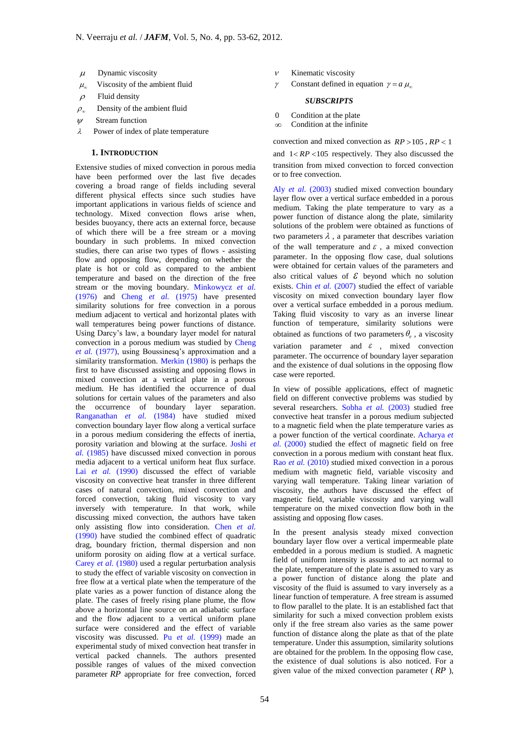- 
- $\mu_{\infty}$ Viscosity of the ambient fluid
- $\rho$  Fluid density
- $\rho_{\infty}$ Density of the ambient fluid
- $W$  Stream function
- $\lambda$  Power of index of plate temperature

# **1. INTRODUCTION**

*μ* Dynamic viscosity<br> *μ* Usecosity of the ambient fluid<br> *ρ* Fusiod ensity<br> *ρ* Fusiod ensity<br> *ρ* Fusiod ensity<br> *γ* Fusiod ensity<br> **1. INTRODUCTION**<br>
3 Downs of the ambient fluid<br>
3 Power of index of plate temperatur Extensive studies of mixed convection in porous media have been performed over the last five decades covering a broad range of fields including several different physical effects since such studies have important applications in various fields of science and technology. Mixed convection flows arise when, besides buoyancy, there acts an external force, because of which there will be a free stream or a moving boundary in such problems. In mixed convection studies, there can arise two types of flows - assisting flow and opposing flow, depending on whether the plate is hot or cold as compared to the ambient temperature and based on the direction of the free stream or the moving boundary. Minkowycz *et al.* (1976) and Cheng *et al.* (1975) have presented similarity solutions for free convection in a porous medium adjacent to vertical and horizontal plates with wall temperatures being power functions of distance. Using Darcy's law, a boundary layer model for natural convection in a porous medium was studied by Cheng *et al.* (1977), using Boussinesq's approximation and a similarity transformation. Merkin (1980) is perhaps the first to have discussed assisting and opposing flows in mixed convection at a vertical plate in a porous medium. He has identified the occurrence of dual solutions for certain values of the parameters and also the occurrence of boundary layer separation. Ranganathan *et al.* (1984) have studied mixed convection boundary layer flow along a vertical surface in a porous medium considering the effects of inertia, porosity variation and blowing at the surface. Joshi *et al.* (1985) have discussed mixed convection in porous media adjacent to a vertical uniform heat flux surface. Lai *et al.* (1990) discussed the effect of variable viscosity on convective heat transfer in three different cases of natural convection, mixed convection and forced convection, taking fluid viscosity to vary inversely with temperature. In that work, while discussing mixed convection, the authors have taken only assisting flow into consideration. Chen *et al.* (1990) have studied the combined effect of quadratic drag, boundary friction, thermal dispersion and non uniform porosity on aiding flow at a vertical surface. Carey *et al.* (1980) used a regular perturbation analysis to study the effect of variable viscosity on convection in free flow at a vertical plate when the temperature of the plate varies as a power function of distance along the plate. The cases of freely rising plane plume, the flow above a horizontal line source on an adiabatic surface and the flow adjacent to a vertical uniform plane surface were considered and the effect of variable viscosity was discussed. Pu *et al.* (1999) made an experimental study of mixed convection heat transfer in vertical packed channels. The authors presented possible ranges of values of the mixed convection parameter *RP* appropriate for free convection, forced

- $\nu$  Kinematic viscosity
- $\gamma$  Constant defined in equation  $\gamma = a \mu_{\infty}$

# *SUBSCRIPTS*

- 0 Condition at the plate
- $\infty$  Condition at the infinite

convection and mixed convection as  $RP > 105$ ,  $RP < 1$ and  $1 < RP < 105$  respectively. They also discussed the transition from mixed convection to forced convection or to free convection.

Aly *et al.* (2003) studied mixed convection boundary layer flow over a vertical surface embedded in a porous medium. Taking the plate temperature to vary as a power function of distance along the plate, similarity solutions of the problem were obtained as functions of two parameters  $\lambda$ , a parameter that describes variation of the wall temperature and  $\varepsilon$ , a mixed convection parameter. In the opposing flow case, dual solutions were obtained for certain values of the parameters and also critical values of  $\mathcal E$  beyond which no solution exists. Chin *et al.* (2007) studied the effect of variable viscosity on mixed convection boundary layer flow over a vertical surface embedded in a porous medium. Taking fluid viscosity to vary as an inverse linear function of temperature, similarity solutions were obtained as functions of two parameters  $\theta_e$ , a viscosity variation parameter and  $\varepsilon$ , mixed convection parameter. The occurrence of boundary layer separation and the existence of dual solutions in the opposing flow case were reported.

In view of possible applications, effect of magnetic field on different convective problems was studied by several researchers. Sobha *et al.* (2003) studied free convective heat transfer in a porous medium subjected to a magnetic field when the plate temperature varies as a power function of the vertical coordinate. Acharya *et al.* (2000) studied the effect of magnetic field on free convection in a porous medium with constant heat flux. Rao *et al.* (2010) studied mixed convection in a porous medium with magnetic field, variable viscosity and varying wall temperature. Taking linear variation of viscosity, the authors have discussed the effect of magnetic field, variable viscosity and varying wall temperature on the mixed convection flow both in the assisting and opposing flow cases.

In the present analysis steady mixed convection boundary layer flow over a vertical impermeable plate embedded in a porous medium is studied. A magnetic field of uniform intensity is assumed to act normal to the plate, temperature of the plate is assumed to vary as a power function of distance along the plate and viscosity of the fluid is assumed to vary inversely as a linear function of temperature. A free stream is assumed to flow parallel to the plate. It is an established fact that similarity for such a mixed convection problem exists only if the free stream also varies as the same power function of distance along the plate as that of the plate temperature. Under this assumption, similarity solutions are obtained for the problem. In the opposing flow case, the existence of dual solutions is also noticed. For a given value of the mixed convection parameter ( *RP* ),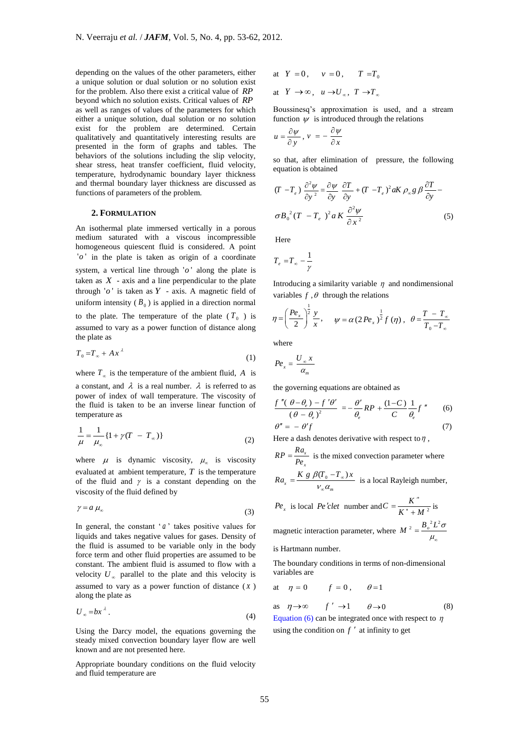depending on the values of the other parameters, either a unique solution or dual solution or no solution exist for the problem. Also there exist a critical value of *RP* beyond which no solution exists. Critical values of *RP* as well as ranges of values of the parameters for which either a unique solution, dual solution or no solution exist for the problem are determined. Certain qualitatively and quantitatively interesting results are presented in the form of graphs and tables. The behaviors of the solutions including the slip velocity, shear stress, heat transfer coefficient, fluid velocity, temperature, hydrodynamic boundary layer thickness and thermal boundary layer thickness are discussed as functions of parameters of the problem.

## **2. FORMULATION**

An isothermal plate immersed vertically in a porous medium saturated with a viscous incompressible homogeneous quiescent fluid is considered. A point  $'o'$  in the plate is taken as origin of a coordinate

system, a vertical line through  $'o'$  along the plate is taken as  $X$  - axis and a line perpendicular to the plate through  $'o'$  is taken as  $Y$  - axis. A magnetic field of uniform intensity  $(B_0)$  is applied in a direction normal

to the plate. The temperature of the plate  $(T_0)$  is assumed to vary as a power function of distance along the plate as

$$
T_0 = T_\infty + Ax^{\lambda} \tag{1}
$$

where  $T_{\infty}$  is the temperature of the ambient fluid, A is

a constant, and  $\lambda$  is a real number.  $\lambda$  is referred to as power of index of wall temperature. The viscosity of the fluid is taken to be an inverse linear function of temperature as

$$
\frac{1}{\mu} = \frac{1}{\mu_{\infty}} \{ 1 + \gamma (T - T_{\infty}) \}
$$
 (2)

where  $\mu$  is dynamic viscosity,  $\mu_{\infty}$  is viscosity evaluated at ambient temperature,  $T$  is the temperature of the fluid and  $\gamma$  is a constant depending on the viscosity of the fluid defined by

$$
\gamma = a \mu_{\infty} \tag{3}
$$

In general, the constant  $a'$  takes positive values for liquids and takes negative values for gases. Density of the fluid is assumed to be variable only in the body force term and other fluid properties are assumed to be constant. The ambient fluid is assumed to flow with a velocity  $U_{\infty}$  parallel to the plate and this velocity is assumed to vary as a power function of distance  $(x)$ along the plate as

$$
U_{\infty} = bx^{\lambda} \tag{4}
$$

Using the Darcy model, the equations governing the steady mixed convection boundary layer flow are well known and are not presented here.

Appropriate boundary conditions on the fluid velocity and fluid temperature are

at  $Y = 0$ ,  $v = 0$ ,  $T = T_0$ at  $Y \to \infty$ ,  $u \to U_{\infty}$ ,  $T \to T_{\infty}$ 

Boussinesq's approximation is used, and a stream function  $\psi$  is introduced through the relations

$$
u = \frac{\partial \psi}{\partial y}, \quad v = -\frac{\partial \psi}{\partial x}
$$

so that, after elimination of pressure, the following equation is obtained

$$
(T - T_e) \frac{\partial^2 \psi}{\partial y^2} = \frac{\partial \psi}{\partial y} \frac{\partial T}{\partial y} + (T - T_e)^2 aK \rho_{\infty} g \beta \frac{\partial T}{\partial y} - \sigma B_0^2 (T - T_e)^2 aK \frac{\partial^2 \psi}{\partial x^2}
$$
 (5)

Here

$$
T_e = T_\infty - \frac{1}{\gamma}
$$

Introducing a similarity variable  $\eta$  and nondimensional variables  $f$ ,  $\theta$  through the relations

$$
\eta = \left(\frac{Pe_x}{2}\right)^{\frac{1}{2}} \frac{y}{x}, \quad \psi = \alpha (2Pe_x)^{\frac{1}{2}} f(\eta), \quad \theta = \frac{T - T_{\infty}}{T_0 - T_{\infty}}
$$

where

$$
Pe_x = \frac{U_{\infty} x}{\alpha_m}
$$

 $\mathbf{D}$ 

the governing equations are obtained as

$$
\frac{f''(\theta - \theta_e) - f'\theta'}{(\theta - \theta_e)^2} = -\frac{\theta'}{\theta_e}RP + \frac{(1 - C)}{C}\frac{1}{\theta_e}f''
$$
 (6)

$$
\theta'' = -\theta' f \tag{7}
$$

Here a dash denotes derivative with respect to  $\eta$ ,

$$
RP = \frac{R u_x}{P e_x}
$$
 is the mixed convection parameter where

$$
Ra_x = \frac{K g \beta (T_0 - T_\infty)x}{V_\infty \alpha_m}
$$
 is a local Rayleigh number,

$$
Pe_x
$$
 is local *Pe' clet* number and  $C = \frac{K^*}{K^* + M^2}$  is

magnetic interaction parameter, where  $M^2 = \frac{B_o^2 L^2 \sigma}{2}$  $\mu_{\scriptscriptstyle \alpha}$  $=$ 

is Hartmann number.

The boundary conditions in terms of non-dimensional variables are

$$
at \quad \eta = 0 \qquad \quad f = 0 \,, \qquad \theta = 1
$$

as 
$$
\eta \to \infty
$$
  $f' \to 1$   $\theta \to 0$  (8)

Equation (6) can be integrated once with respect to  $\eta$ using the condition on  $f'$  at infinity to get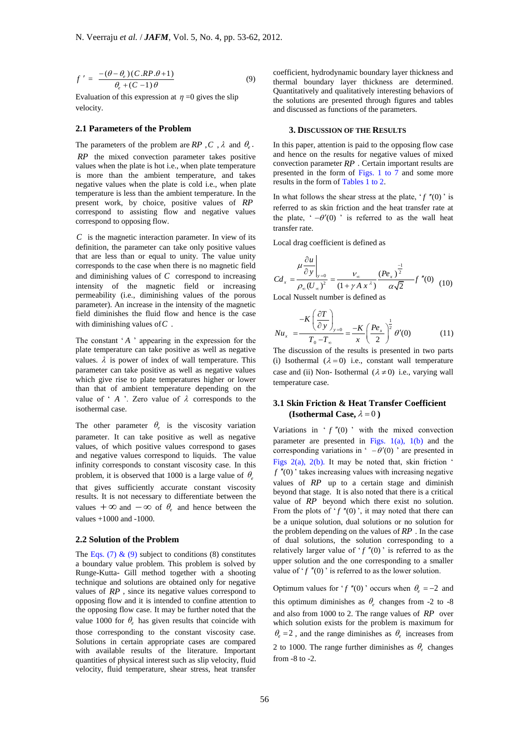$$
f' = \frac{-(\theta - \theta_e)(C.RP.\theta + 1)}{\theta_e + (C - 1)\theta}
$$
\n(9)

Evaluation of this expression at  $\eta = 0$  gives the slip velocity.

# **2.1 Parameters of the Problem**

The parameters of the problem are  $RP$ ,  $C$ ,  $\lambda$  and  $\theta_e$ .

*RP* the mixed convection parameter takes positive values when the plate is hot i.e., when plate temperature is more than the ambient temperature, and takes negative values when the plate is cold i.e., when plate temperature is less than the ambient temperature. In the present work, by choice, positive values of *RP* correspond to assisting flow and negative values correspond to opposing flow.

*C* is the magnetic interaction parameter. In view of its definition, the parameter can take only positive values that are less than or equal to unity. The value unity corresponds to the case when there is no magnetic field and diminishing values of  $C$  correspond to increasing intensity of the magnetic field or increasing permeability (i.e., diminishing values of the porous parameter). An increase in the intensity of the magnetic field diminishes the fluid flow and hence is the case with diminishing values of *C* .

The constant ' *A* ' appearing in the expression for the plate temperature can take positive as well as negative values.  $\lambda$  is power of index of wall temperature. This parameter can take positive as well as negative values which give rise to plate temperatures higher or lower than that of ambient temperature depending on the value of  $\Delta$   $\wedge$  *Zero* value of  $\lambda$  corresponds to the isothermal case.

The other parameter  $\theta_e$  is the viscosity variation parameter. It can take positive as well as negative values, of which positive values correspond to gases and negative values correspond to liquids. The value infinity corresponds to constant viscosity case. In this problem, it is observed that 1000 is a large value of  $\theta_e$ that gives sufficiently accurate constant viscosity results. It is not necessary to differentiate between the values  $+ \infty$  and  $- \infty$  of  $\theta_e$  and hence between the

values +1000 and -1000.

## **2.2 Solution of the Problem**

 $f' = \frac{1}{\theta} \frac{V_1 \times (1 - 1)}{\theta}$  (9)<br>
Fralmation of this expression at  $\eta = 0$  gives the slip<br>
Fralmation of this expression at  $\eta = 0$  gives the slip<br>
Freduction of this expression at  $\eta = 0$  gives the slip<br>
Freduction of The Eqs. (7)  $\&$  (9) subject to conditions (8) constitutes a boundary value problem. This problem is solved by Runge-Kutta- Gill method together with a shooting technique and solutions are obtained only for negative values of *RP* , since its negative values correspond to opposing flow and it is intended to confine attention to the opposing flow case. It may be further noted that the value 1000 for  $\theta_e$  has given results that coincide with those corresponding to the constant viscosity case. Solutions in certain appropriate cases are compared with available results of the literature. Important quantities of physical interest such as slip velocity, fluid velocity, fluid temperature, shear stress, heat transfer

coefficient, hydrodynamic boundary layer thickness and thermal boundary layer thickness are determined. Quantitatively and qualitatively interesting behaviors of the solutions are presented through figures and tables and discussed as functions of the parameters.

#### **3. DISCUSSION OF THE RESULTS**

In this paper, attention is paid to the opposing flow case and hence on the results for negative values of mixed convection parameter *RP* . Certain important results are presented in the form of Figs. 1 to  $\overline{7}$  and some more results in the form of Tables 1 to 2.

In what follows the shear stress at the plate,  $'f''(0)$  is referred to as skin friction and the heat transfer rate at the plate,  $\div(-\theta'(0))$  is referred to as the wall heat transfer rate.

Local drag coefficient is defined as

$$
Cd_x = \frac{\mu \frac{\partial u}{\partial y}\Big|_{y=0}}{\rho_x (U_x)^2} = \frac{v_x}{(1 + \gamma A x^{\lambda})} \frac{(Pe_x)^{\frac{-1}{2}}}{\alpha \sqrt{2}} f''(0)
$$
 (10)

Local Nusselt number is defined as

$$
Nu_x = \frac{-K\left(\frac{\partial T}{\partial y}\right)_{y=0}}{T_0 - T_\infty} = \frac{-K}{x}\left(\frac{Pe_x}{2}\right)^{\frac{1}{2}}\theta'(0) \tag{11}
$$

The discussion of the results is presented in two parts (i) Isothermal  $(\lambda = 0)$  i.e., constant wall temperature case and (ii) Non- Isothermal  $(\lambda \neq 0)$  i.e., varying wall temperature case.

# **3.1 Skin Friction & Heat Transfer Coefficient (Isothermal Case,**  $\lambda = 0$  )

Variations in  $f''(0)$  with the mixed convection parameter are presented in Figs.  $1(a)$ ,  $1(b)$  and the corresponding variations in ' $-\theta'(0)$ ' are presented in Figs  $2(a)$ ,  $2(b)$ . It may be noted that, skin friction *f* (0) ' takes increasing values with increasing negative values of *RP* up to a certain stage and diminish beyond that stage. It is also noted that there is a critical value of RP beyond which there exist no solution. From the plots of  $f''(0)$ , it may noted that there can be a unique solution, dual solutions or no solution for the problem depending on the values of *RP* . In the case of dual solutions, the solution corresponding to a relatively larger value of  $f''(0)$  is referred to as the upper solution and the one corresponding to a smaller value of  $f''(0)$  is referred to as the lower solution.

Optimum values for '*f* "(0)' occurs when  $\theta_e = -2$  and this optimum diminishes as  $\theta_e$  changes from -2 to -8 and also from 1000 to 2. The range values of *RP* over which solution exists for the problem is maximum for  $\theta_e = 2$ , and the range diminishes as  $\theta_e$  increases from 2 to 1000. The range further diminishes as  $\theta_e$  changes from -8 to -2.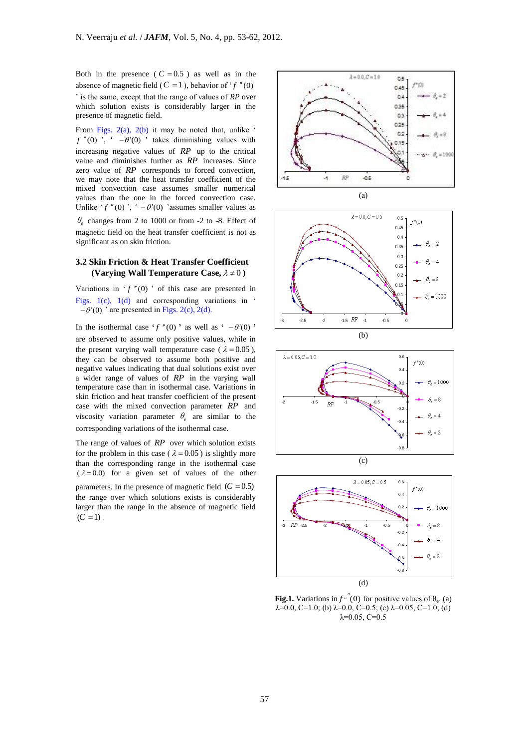Both in the presence  $(C = 0.5)$  as well as in the absence of magnetic field ( $C = 1$ ), behavior of ' $f''(0)$ 

' is the same, except that the range of values of *RP* over which solution exists is considerably larger in the presence of magnetic field.

From Figs.  $2(a)$ ,  $2(b)$  it may be noted that, unlike '  $f''(0)$ ,  $\left( -\theta'(0) \right)$  takes diminishing values with increasing negative values of *RP* up to the critical value and diminishes further as *RP* increases. Since zero value of *RP* corresponds to forced convection, we may note that the heat transfer coefficient of the mixed convection case assumes smaller numerical values than the one in the forced convection case. Unlike ' $f''(0)$ ', '  $-\theta'(0)$ ' assumes smaller values as  $\theta_e$  changes from 2 to 1000 or from -2 to -8. Effect of

magnetic field on the heat transfer coefficient is not as significant as on skin friction.

# **3.2 Skin Friction & Heat Transfer Coefficient (Varying Wall Temperature Case,**  $\lambda \neq 0$ )

Variations in  $f''(0)$  of this case are presented in Figs. 1(c), 1(d) and corresponding variations in '  $-\theta'(0)$  ' are presented in Figs. 2(c), 2(d).

In the isothermal case  $f''(0)$  as well as  $\theta - \theta'(0)$ are observed to assume only positive values, while in the present varying wall temperature case ( $\lambda = 0.05$ ), they can be observed to assume both positive and negative values indicating that dual solutions exist over a wider range of values of *RP* in the varying wall temperature case than in isothermal case. Variations in skin friction and heat transfer coefficient of the present case with the mixed convection parameter *RP* and viscosity variation parameter  $\theta_e$  are similar to the corresponding variations of the isothermal case.

The range of values of RP over which solution exists for the problem in this case ( $\lambda = 0.05$ ) is slightly more than the corresponding range in the isothermal case  $(\lambda = 0.0)$  for a given set of values of the other parameters. In the presence of magnetic field  $(C = 0.5)$ the range over which solutions exists is considerably larger than the range in the absence of magnetic field  $(C = 1)$ .









**Fig.1.** Variations in  $f''(0)$  for positive values of  $\theta_e$ . (a)  $\lambda$ =0.0, C=1.0; (b)  $\lambda$ =0.0, C=0.5; (c)  $\lambda$ =0.05, C=1.0; (d)  $\lambda = 0.05$ , C=0.5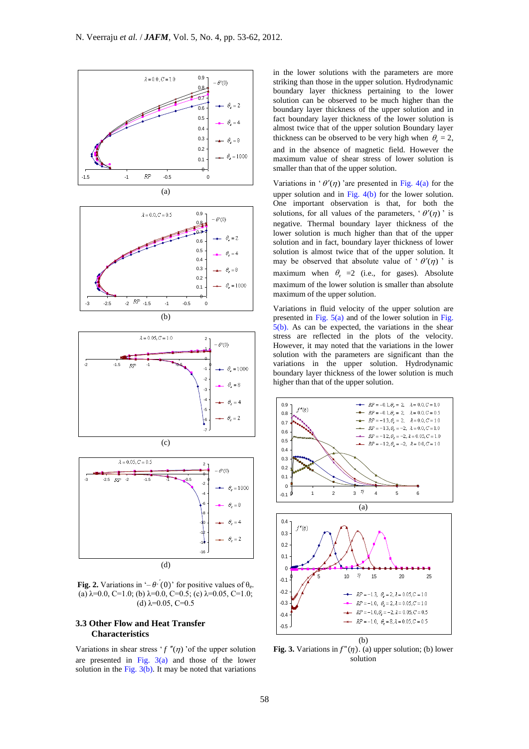

**Fig. 2.** Variations in ' $-\theta$ '(0)' for positive values of  $\theta_e$ . (a)  $\lambda$ =0.0, C=1.0; (b)  $\lambda$ =0.0, C=0.5; (c)  $\lambda$ =0.05, C=1.0; (d)  $\lambda = 0.05$ , C=0.5

# **3.3 Other Flow and Heat Transfer Characteristics**

Variations in shear stress ' $f''(\eta)$ ' of the upper solution are presented in Fig.  $3(a)$  and those of the lower solution in the Fig.  $3(b)$ . It may be noted that variations

in the lower solutions with the parameters are more striking than those in the upper solution. Hydrodynamic boundary layer thickness pertaining to the lower solution can be observed to be much higher than the boundary layer thickness of the upper solution and in fact boundary layer thickness of the lower solution is almost twice that of the upper solution Boundary layer thickness can be observed to be very high when  $\theta_e = 2$ , and in the absence of magnetic field. However the maximum value of shear stress of lower solution is smaller than that of the upper solution.

Variations in ' $\theta'(\eta)$  'are presented in Fig. 4(a) for the upper solution and in Fig.  $4(b)$  for the lower solution. One important observation is that, for both the solutions, for all values of the parameters, ' $\theta'(\eta)$ ' is negative. Thermal boundary layer thickness of the lower solution is much higher than that of the upper solution and in fact, boundary layer thickness of lower solution is almost twice that of the upper solution. It may be observed that absolute value of ' $\theta'(\eta)$ ' is maximum when  $\theta_e = 2$  (i.e., for gases). Absolute maximum of the lower solution is smaller than absolute maximum of the upper solution.

Variations in fluid velocity of the upper solution are presented in Fig.  $5(a)$  and of the lower solution in Fig.  $5(b)$ . As can be expected, the variations in the shear stress are reflected in the plots of the velocity. However, it may noted that the variations in the lower solution with the parameters are significant than the variations in the upper solution. Hydrodynamic boundary layer thickness of the lower solution is much higher than that of the upper solution.



**Fig. 3.** Variations in  $f''(\eta)$ . (a) upper solution; (b) lower solution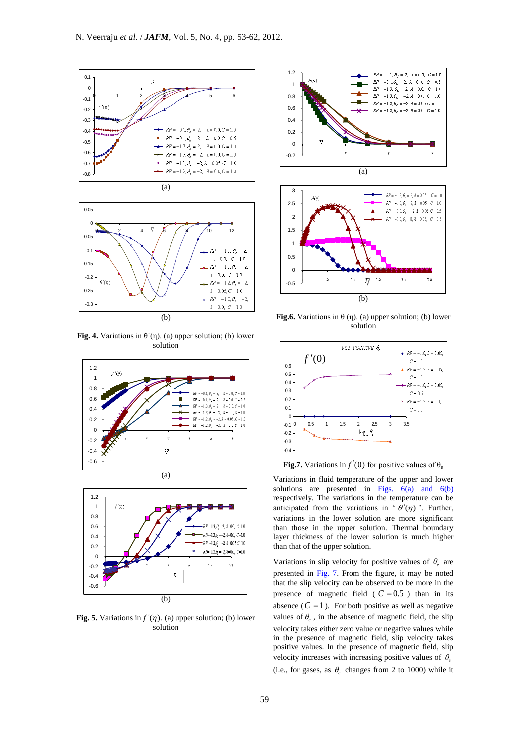



**Fig. 4.** Variations in  $\theta'(\eta)$ . (a) upper solution; (b) lower solution





Fig. 5. Variations in  $f'(\eta)$ . (a) upper solution; (b) lower solution







**Fig.6.** Variations in  $\theta$  (η). (a) upper solution; (b) lower solution



**Fig.7.** Variations in  $f'(0)$  for positive values of  $\theta_e$ 

Variations in fluid temperature of the upper and lower solutions are presented in Figs.  $6(a)$  and  $6(b)$ respectively. The variations in the temperature can be anticipated from the variations in ' $\theta'(\eta)$ '. Further, variations in the lower solution are more significant than those in the upper solution. Thermal boundary layer thickness of the lower solution is much higher than that of the upper solution.

Variations in slip velocity for positive values of  $\theta_e$  are presented in Fig. 7. From the figure, it may be noted that the slip velocity can be observed to be more in the presence of magnetic field ( $C = 0.5$ ) than in its absence  $(C = 1)$ . For both positive as well as negative values of  $\theta_e$ , in the absence of magnetic field, the slip velocity takes either zero value or negative values while in the presence of magnetic field, slip velocity takes positive values. In the presence of magnetic field, slip velocity increases with increasing positive values of  $\theta_e$ 

(i.e., for gases, as  $\theta_e$  changes from 2 to 1000) while it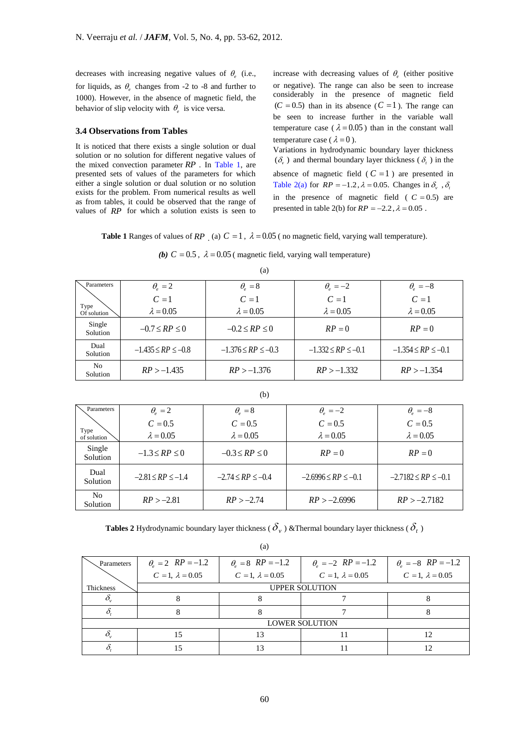decreases with increasing negative values of  $\theta_e$  (i.e., for liquids, as  $\theta_e$  changes from -2 to -8 and further to 1000). However, in the absence of magnetic field, the behavior of slip velocity with  $\theta_e$  is vice versa.

# **3.4 Observations from Tables**

It is noticed that there exists a single solution or dual solution or no solution for different negative values of the mixed convection parameter *RP* . In Table 1, are presented sets of values of the parameters for which either a single solution or dual solution or no solution exists for the problem. From numerical results as well as from tables, it could be observed that the range of values of RP for which a solution exists is seen to

increase with decreasing values of  $\theta_e$  (either positive or negative). The range can also be seen to increase considerably in the presence of magnetic field  $(C = 0.5)$  than in its absence  $(C = 1)$ . The range can be seen to increase further in the variable wall temperature case ( $\lambda = 0.05$ ) than in the constant wall temperature case ( $\lambda = 0$ ).

Variations in hydrodynamic boundary layer thickness  $(\delta_{\nu})$  and thermal boundary layer thickness ( $\delta_{\nu}$ ) in the absence of magnetic field  $(C = 1)$  are presented in Table 2(a) for  $RP = -1.2$ ,  $\lambda = 0.05$ . Changes in  $\delta_{v}$ ,  $\delta_{\beta}$ in the presence of magnetic field  $(C = 0.5)$  are presented in table 2(b) for  $RP = -2.2$ ,  $\lambda = 0.05$ .

**Table 1** Ranges of values of RP (a)  $C = 1$ ,  $\lambda = 0.05$  (no magnetic field, varying wall temperature).

| (b) $C = 0.5$ , $\lambda = 0.05$ (magnetic field, varying wall temperature) |
|-----------------------------------------------------------------------------|
|-----------------------------------------------------------------------------|

|                           |                          | (a)                      |                          |                          |
|---------------------------|--------------------------|--------------------------|--------------------------|--------------------------|
| Parameters                | $\theta_e = 2$           | $\theta_{e} = 8$         | $\theta_e = -2$          | $\theta_e = -8$          |
|                           | $C=1$                    | $C=1$                    | $C=1$                    | $C=1$                    |
| Type<br>Of solution       | $\lambda = 0.05$         | $\lambda = 0.05$         | $\lambda = 0.05$         | $\lambda = 0.05$         |
| Single<br><b>Solution</b> | $-0.7 \le RP \le 0$      | $-0.2 \leq RP \leq 0$    | $RP = 0$                 | $RP = 0$                 |
| Dual<br>Solution          | $-1.435 \le RP \le -0.8$ | $-1.376 \le RP \le -0.3$ | $-1.332 \le RP \le -0.1$ | $-1.354 \le RP \le -0.1$ |
| No<br>Solution            | $RP > -1.435$            | $RP > -1.376$            | $RP > -1.332$            | $RP > -1.354$            |

|--|

| ۰,<br>× |
|---------|
|---------|

| Parameters          | $\theta_e = 2$          | $\theta_{e} = 8$        | $\theta_e = -2$           | $\theta_e = -8$           |
|---------------------|-------------------------|-------------------------|---------------------------|---------------------------|
|                     | $C = 0.5$               | $C = 0.5$               | $C = 0.5$                 | $C = 0.5$                 |
| Type<br>of solution | $\lambda = 0.05$        | $\lambda = 0.05$        | $\lambda = 0.05$          | $\lambda = 0.05$          |
| Single<br>Solution  | $-1.3 \leq RP \leq 0$   | $-0.3 \leq RP \leq 0$   | $RP = 0$                  | $RP = 0$                  |
| Dual<br>Solution    | $-2.81 \le RP \le -1.4$ | $-2.74 \le RP \le -0.4$ | $-2.6996 \le RP \le -0.1$ | $-2.7182 \le RP \le -0.1$ |
| No<br>Solution      | $RP > -2.81$            | $RP > -2.74$            | $RP > -2.6996$            | $RP > -2.7182$            |

**Tables 2** Hydrodynamic boundary layer thickness (  $\delta_v$  ) &Thermal boundary layer thickness (  $\delta_t$  )

(a)

| Parameters     | $\theta_e = 2$ $RP = -1.2$ | $\theta_e = 8$ $RP = -1.2$ | $\theta_e = -2$ $RP = -1.2$ | $\theta_e = -8$ $RP = -1.2$ |
|----------------|----------------------------|----------------------------|-----------------------------|-----------------------------|
|                | $C = 1, \lambda = 0.05$    | $C = 1, \lambda = 0.05$    | $C = 1, \lambda = 0.05$     | $C = 1, \lambda = 0.05$     |
| Thickness      |                            |                            | <b>UPPER SOLUTION</b>       |                             |
|                |                            |                            |                             |                             |
|                |                            |                            |                             |                             |
| LOWER SOLUTION |                            |                            |                             |                             |
|                | 15                         | 13                         |                             |                             |
|                |                            | 12                         |                             |                             |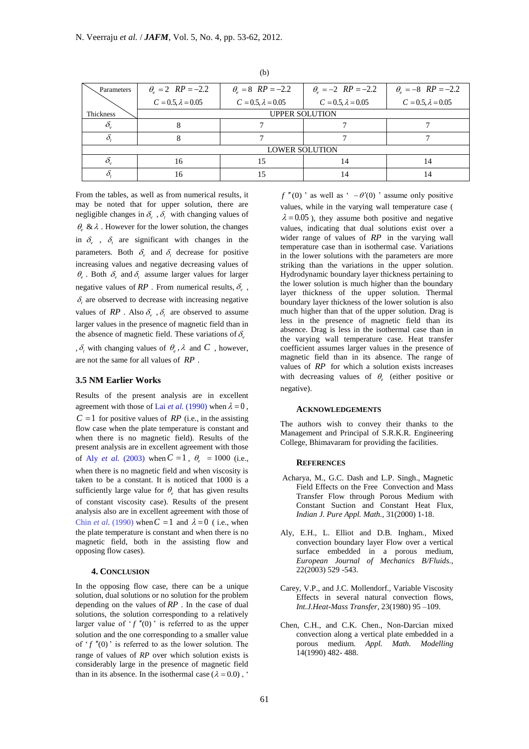| Parameters | $\theta_e = 2$ $RP = -2.2$ | $\theta_e = 8$ $RP = -2.2$ | $\theta_e = -2$ $RP = -2.2$ | $\theta_e = -8$ $RP = -2.2$ |  |
|------------|----------------------------|----------------------------|-----------------------------|-----------------------------|--|
|            | $C = 0.5, \lambda = 0.05$  | $C = 0.5, \lambda = 0.05$  | $C = 0.5, \lambda = 0.05$   | $C = 0.5, \lambda = 0.05$   |  |
| Thickness  |                            | <b>UPPER SOLUTION</b>      |                             |                             |  |
|            |                            |                            |                             |                             |  |
|            |                            |                            |                             |                             |  |
|            | <b>LOWER SOLUTION</b>      |                            |                             |                             |  |
|            | 16                         | 15                         | 14                          | 14                          |  |
|            | 16                         |                            | 14                          | 14                          |  |

(b)

From the tables, as well as from numerical results, it may be noted that for upper solution, there are negligible changes in  $\delta_{v}$ ,  $\delta_{t}$  with changing values of  $\theta$ , &  $\lambda$ . However for the lower solution, the changes in  $\delta$ ,  $\delta$  are significant with changes in the parameters. Both  $\delta_{\nu}$  and  $\delta_{\iota}$  decrease for positive increasing values and negative decreasing values of  $\theta_e$ . Both  $\delta$ <sub>v</sub> and  $\delta$ <sub>t</sub> assume larger values for larger negative values of  $RP$ . From numerical results,  $\delta_{v}$ ,  $\delta$ <sub>c</sub> are observed to decrease with increasing negative values of  $RP$ . Also  $\delta_{v}$ ,  $\delta_{t}$  are observed to assume larger values in the presence of magnetic field than in the absence of magnetic field. These variations of  $\delta_{\nu}$ 

,  $\delta$ <sub>t</sub> with changing values of  $\theta$ <sub>e</sub>,  $\lambda$  and C , however, are not the same for all values of *RP* .

## **3.5 NM Earlier Works**

Results of the present analysis are in excellent agreement with those of Lai *et al.* (1990) when  $\lambda = 0$ ,  $C = 1$  for positive values of *RP* (i.e., in the assisting flow case when the plate temperature is constant and when there is no magnetic field). Results of the present analysis are in excellent agreement with those of Aly *et al.* (2003) when  $C = 1$ ,  $\theta_e = 1000$  (i.e., when there is no magnetic field and when viscosity is taken to be a constant. It is noticed that 1000 is a sufficiently large value for  $\theta_e$  that has given results of constant viscosity case). Results of the present analysis also are in excellent agreement with those of Chin *et al.* (1990) when  $C = 1$  and  $\lambda = 0$  (i.e., when the plate temperature is constant and when there is no magnetic field, both in the assisting flow and opposing flow cases).

## **4. CONCLUSION**

In the opposing flow case, there can be a unique solution, dual solutions or no solution for the problem depending on the values of *RP* . In the case of dual solutions, the solution corresponding to a relatively larger value of  $'f''(0)$  is referred to as the upper solution and the one corresponding to a smaller value of  $'f''(0)$  is referred to as the lower solution. The range of values of *RP* over which solution exists is considerably large in the presence of magnetic field than in its absence. In the isothermal case  $(\lambda = 0.0)$ , '

 $f''(0)$  ' as well as '  $-\theta'(0)$  ' assume only positive values, while in the varying wall temperature case (  $\lambda = 0.05$ ), they assume both positive and negative values, indicating that dual solutions exist over a wider range of values of *RP* in the varying wall temperature case than in isothermal case. Variations in the lower solutions with the parameters are more striking than the variations in the upper solution. Hydrodynamic boundary layer thickness pertaining to the lower solution is much higher than the boundary layer thickness of the upper solution. Thermal boundary layer thickness of the lower solution is also much higher than that of the upper solution. Drag is less in the presence of magnetic field than its absence. Drag is less in the isothermal case than in the varying wall temperature case. Heat transfer coefficient assumes larger values in the presence of magnetic field than in its absence. The range of values of RP for which a solution exists increases with decreasing values of  $\theta_e$  (either positive or negative).

## **ACKNOWLEDGEMENTS**

The authors wish to convey their thanks to the Management and Principal of S.R.K.R. Engineering College, Bhimavaram for providing the facilities.

#### **REFERENCES**

- Acharya, M., G.C. Dash and L.P. Singh., Magnetic Field Effects on the Free Convection and Mass Transfer Flow through Porous Medium with Constant Suction and Constant Heat Flux*, Indian J. Pure Appl. Math.,* 31(2000) 1-18.
- Aly, E.H., L. Elliot and D.B. Ingham., Mixed convection boundary layer Flow over a vertical surface embedded in a porous medium, *European Journal of Mechanics B/Fluids.,* 22(2003) 529 -543.
- Carey, V.P., and J.C. Mollendorf., Variable Viscosity Effects in several natural convection flows, *Int.J.Heat-Mass Transfer*, 23(1980) 95 –109.
- Chen, C.H., and C.K. Chen., Non-Darcian mixed convection along a vertical plate embedded in a porous medium. *Appl. Math. Modelling*  14(1990) 482- 488.